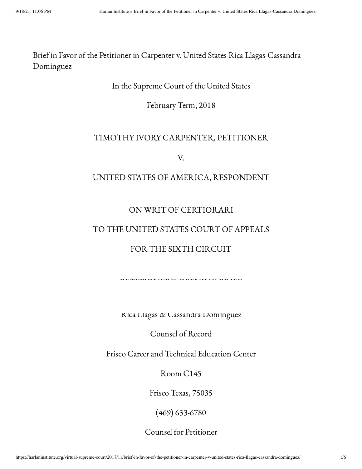Brief in Favor of the Petitioner in Carpenter v. United States Rica Llagas-Cassandra Dominguez

#### In the Supreme Court of the United States

February Term, 2018

### TIMOTHY IVORY CARPENTER, PETITIONER

V.

## UNITED STATES OF AMERICA, RESPONDENT

## ON WRIT OF CERTIORARI

### TO THE UNITED STATES COURT OF APPEALS

## FOR THE SIXTH CIRCUIT

PETITIONER'S OPENING BRITISH

Rica Llagas & Cassandra Dominguez

Counsel of Record

Frisco Career and Technical Education Center

Room C145

Frisco Texas, 75035

(469) 633-6780

Counsel for Petitioner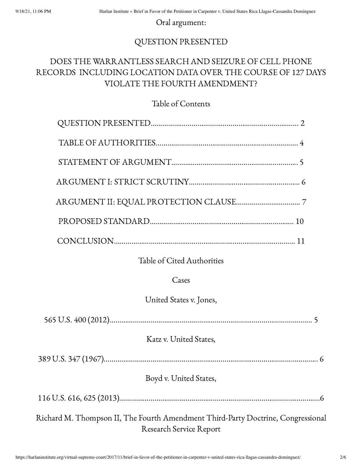### Oral argument:

# QUESTION PRESENTED

# DOES THE WARRANTLESS SEARCH AND SEIZURE OF CELL PHONE RECORDS INCLUDING LOCATION DATA OVER THE COURSE OF 127 DAYS VIOLATE THE FOURTH AMENDMENT?

# Table of Contents

# Table of Cited Authorities

#### Cases

## United States v. Jones,

565 U.S. 400 (2012)………………………………………………………………………………………….. 5

## Katz v. United States,

389 U.S. 347 (1967)……………………………………………………………………………………………….. 6

# Boyd v. United States,

116 U.S. 616, 625 (2013)………………………………………………………………………………………….6

Richard M. Thompson II, The Fourth Amendment Third-Party Doctrine, Congressional Research Service Report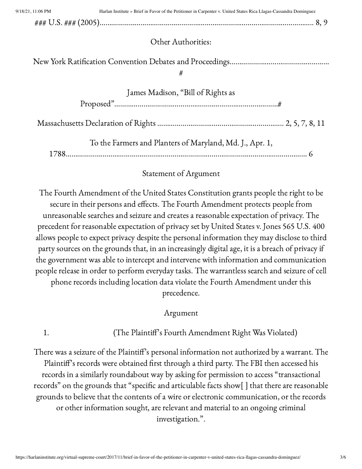9/18/21, 11:06 PM Harlan Institute » Brief in Favor of the Petitioner in Carpenter v. United States Rica Llagas-Cassandra Dominguez

### U.S. ### (2005)……………………………………………………………………………………………….. 8, 9

## Other Authorities:

#

James Madison, "Bill of Rights as

Proposed"…………………………………………………………………………#

Massachusetts Declaration of Rights ……………………………………………………….. 2, 5, 7, 8, 11

To the Farmers and Planters of Maryland, Md. J., Apr. 1,

1788……………………………………………………………………………………………….…………… 6

# Statement of Argument

The Fourth Amendment of the United States Constitution grants people the right to be secure in their persons and effects. The Fourth Amendment protects people from unreasonable searches and seizure and creates a reasonable expectation of privacy. The precedent for reasonable expectation of privacy set by United States v. Jones 565 U.S. 400 allows people to expect privacy despite the personal information they may disclose to third party sources on the grounds that, in an increasingly digital age, it is a breach of privacy if the government was able to intercept and intervene with information and communication people release in order to perform everyday tasks. The warrantless search and seizure of cell phone records including location data violate the Fourth Amendment under this

precedence.

# Argument

1. (The Plaintiff's Fourth Amendment Right Was Violated)

There was a seizure of the Plaintiff's personal information not authorized by a warrant. The Plaintiff's records were obtained first through a third party. The FBI then accessed his records in a similarly roundabout way by asking for permission to access "transactional records" on the grounds that "specific and articulable facts show[ ] that there are reasonable grounds to believe that the contents of a wire or electronic communication, or the records or other information sought, are relevant and material to an ongoing criminal investigation.".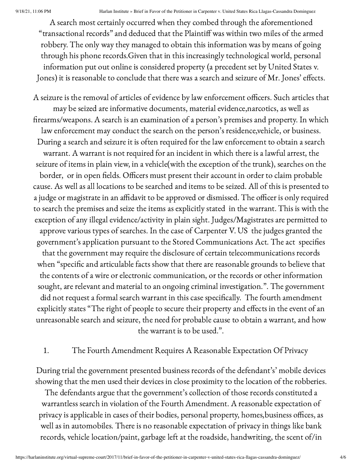A search most certainly occurred when they combed through the aforementioned "transactional records" and deduced that the Plaintiff was within two miles of the armed robbery. The only way they managed to obtain this information was by means of going through his phone records.Given that in this increasingly technological world, personal information put out online is considered property (a precedent set by United States v. Jones) it is reasonable to conclude that there was a search and seizure of Mr. Jones' effects.

A seizure is the removal of articles of evidence by law enforcement officers. Such articles that may be seized are informative documents, material evidence,narcotics, as well as firearms/weapons. A search is an examination of a person's premises and property. In which law enforcement may conduct the search on the person's residence,vehicle, or business. During a search and seizure it is often required for the law enforcement to obtain a search warrant. A warrant is not required for an incident in which there is a lawful arrest, the seizure of items in plain view, in a vehicle(with the exception of the trunk), searches on the border, or in open fields. Officers must present their account in order to claim probable cause. As well as all locations to be searched and items to be seized. All of this is presented to a judge or magistrate in an affidavit to be approved or dismissed. The officer is only required to search the premises and seize the items as explicitly stated in the warrant. This is with the exception of any illegal evidence/activity in plain sight. Judges/Magistrates are permitted to approve various types of searches. In the case of Carpenter V. US the judges granted the government's application pursuant to the Stored Communications Act. The act specifies that the government may require the disclosure of certain telecommunications records when "specific and articulable facts show that there are reasonable grounds to believe that the contents of a wire or electronic communication, or the records or other information sought, are relevant and material to an ongoing criminal investigation.". The government did not request a formal search warrant in this case specifically. The fourth amendment explicitly states "The right of people to secure their property and effects in the event of an unreasonable search and seizure, the need for probable cause to obtain a warrant, and how the warrant is to be used.".

1. The Fourth Amendment Requires A Reasonable Expectation Of Privacy

During trial the government presented business records of the defendant's' mobile devices showing that the men used their devices in close proximity to the location of the robberies.

The defendants argue that the government's collection of those records constituted a warrantless search in violation of the Fourth Amendment. A reasonable expectation of privacy is applicable in cases of their bodies, personal property, homes, business offices, as well as in automobiles. There is no reasonable expectation of privacy in things like bank records, vehicle location/paint, garbage left at the roadside, handwriting, the scent of/in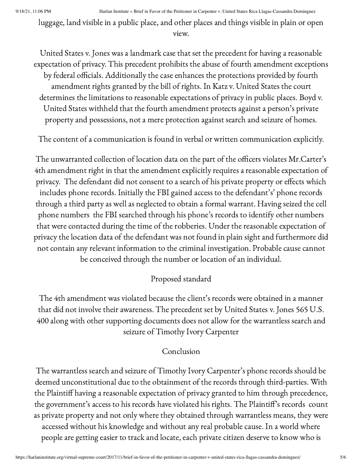luggage, land visible in a public place, and other places and things visible in plain or open view.

United States v. Jones was a landmark case that set the precedent for having a reasonable expectation of privacy. This precedent prohibits the abuse of fourth amendment exceptions by federal officials. Additionally the case enhances the protections provided by fourth amendment rights granted by the bill of rights. In Katz v. United States the court determines the limitations to reasonable expectations of privacy in public places. Boyd v. United States withheld that the fourth amendment protects against a person's private property and possessions, not a mere protection against search and seizure of homes.

The content of a communication is found in verbal or written communication explicitly.

The unwarranted collection of location data on the part of the officers violates Mr.Carter's 4th amendment right in that the amendment explicitly requires a reasonable expectation of privacy. The defendant did not consent to a search of his private property or effects which includes phone records. Initially the FBI gained access to the defendant's' phone records through a third party as well as neglected to obtain a formal warrant. Having seized the cell phone numbers the FBI searched through his phone's records to identify other numbers that were contacted during the time of the robberies. Under the reasonable expectation of privacy the location data of the defendant was not found in plain sight and furthermore did not contain any relevant information to the criminal investigation. Probable cause cannot be conceived through the number or location of an individual.

# Proposed standard

The 4th amendment was violated because the client's records were obtained in a manner that did not involve their awareness. The precedent set by United States v. Jones 565 U.S. 400 along with other supporting documents does not allow for the warrantless search and seizure of Timothy Ivory Carpenter

# Conclusion

The warrantless search and seizure of Timothy Ivory Carpenter's phone records should be deemed unconstitutional due to the obtainment of the records through third-parties. With the Plaintiff having a reasonable expectation of privacy granted to him through precedence, the government's access to his records have violated his rights. The Plaintiff's records count as private property and not only where they obtained through warrantless means, they were accessed without his knowledge and without any real probable cause. In a world where people are getting easier to track and locate, each private citizen deserve to know who is